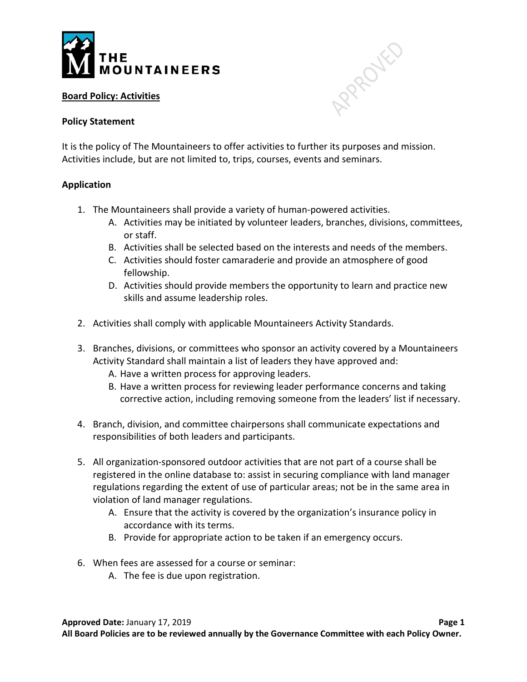

## **Board Policy: Activities**

## **Policy Statement**

It is the policy of The Mountaineers to offer activities to further its purposes and mission. Activities include, but are not limited to, trips, courses, events and seminars.

## **Application**

- 1. The Mountaineers shall provide a variety of human-powered activities.
	- A. Activities may be initiated by volunteer leaders, branches, divisions, committees, or staff.

APRAILLED

- B. Activities shall be selected based on the interests and needs of the members.
- C. Activities should foster camaraderie and provide an atmosphere of good fellowship.
- D. Activities should provide members the opportunity to learn and practice new skills and assume leadership roles.
- 2. Activities shall comply with applicable Mountaineers Activity Standards.
- 3. Branches, divisions, or committees who sponsor an activity covered by a Mountaineers Activity Standard shall maintain a list of leaders they have approved and:
	- A. Have a written process for approving leaders.
	- B. Have a written process for reviewing leader performance concerns and taking corrective action, including removing someone from the leaders' list if necessary.
- 4. Branch, division, and committee chairpersons shall communicate expectations and responsibilities of both leaders and participants.
- 5. All organization-sponsored outdoor activities that are not part of a course shall be registered in the online database to: assist in securing compliance with land manager regulations regarding the extent of use of particular areas; not be in the same area in violation of land manager regulations.
	- A. Ensure that the activity is covered by the organization's insurance policy in accordance with its terms.
	- B. Provide for appropriate action to be taken if an emergency occurs.
- 6. When fees are assessed for a course or seminar:
	- A. The fee is due upon registration.